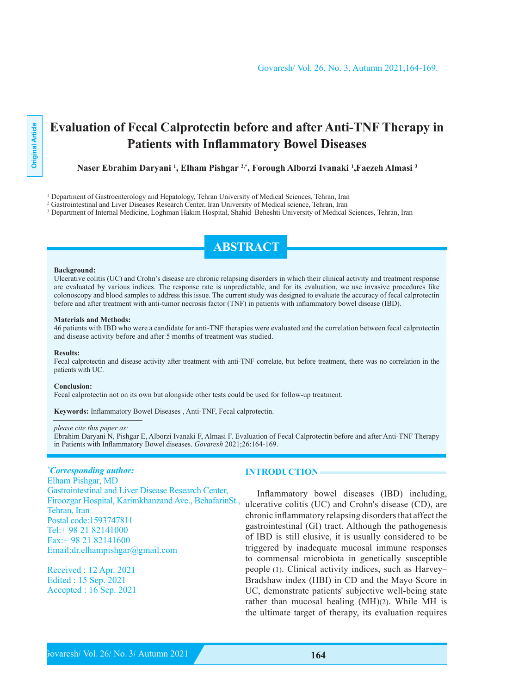# **Evaluation of Fecal Calprotectin before and after Anti-TNF Therapy in Patients with Inflammatory Bowel Diseases**

Naser Ebrahim Daryani <sup>1</sup>, Elham Pishgar 2,\*, Forough Alborzi Ivanaki <sup>1</sup>,Faezeh Almasi <sup>3</sup>

<sup>1</sup> Department of Gastroenterology and Hepatology, Tehran University of Medical Sciences, Tehran, Iran

<sup>2</sup> Gastrointestinal and Liver Diseases Research Center, Iran University of Medical science, Tehran, Iran

<sup>3</sup> Department of Internal Medicine, Loghman Hakim Hospital, Shahid Beheshti University of Medical Sciences, Tehran, Iran

# **ABSTRACT**

#### **Background:**

Ulcerative colitis (UC) and Crohn's disease are chronic relapsing disorders in which their clinical activity and treatment response are evaluated by various indices. The response rate is unpredictable, and for its evaluation, we use invasive procedures like colonoscopy and blood samples to address this issue. The current study was designed to evaluate the accuracy of fecal calprotectin before and after treatment with anti-tumor necrosis factor (TNF) in patients with inflammatory bowel disease (IBD).

#### **Materials and Methods:**

46 patients with IBD who were a candidate for anti-TNF therapies were evaluated and the correlation between fecal calprotectin and disease activity before and after 5 months of treatment was studied.

#### **Results:**

Fecal calprotectin and disease activity after treatment with anti-TNF correlate, but before treatment, there was no correlation in the patients with UC.

#### $Conclusion:$

Fecal calprotectin not on its own but alongside other tests could be used for follow-up treatment.

Keywords: Inflammatory Bowel Diseases , Anti-TNF, Fecal calprotectin.

#### *please cite this paper as:*

Ebrahim Daryani N, Pishgar E, Alborzi Ivanaki F, Almasi F. Evaluation of Fecal Calprotectin before and after Anti-TNF Therapy in Patients with Inflammatory Bowel diseases. Govaresh 2021;26:164-169.

## *\** Corresponding author:

Elham Pishgar, MD Gastrointestinal and Liver Disease Research Center, Firoozgar Hospital, Karimkhanzand Ave., BehafarinSt., Tehran, Iran Postal code: 1593747811  $Tel + 98 21 82141000$  $Fax.+982182141600$ Email: dr. elhampishgar@gmail.com

Received : 12 Apr. 2021 Edited : 15 Sep. 2021 Accepted : 16 Sep. 2021

#### **INTRODUCTION**

Inflammatory bowel diseases (IBD) including, ulcerative colitis (UC) and Crohn's disease (CD), are chronic inflammatory relapsing disorders that affect the gastrointestinal (GI) tract. Although the pathogenesis of IBD is still elusive, it is usually considered to be triggered by inadequate mucosal immune responses to commensal microbiota in genetically susceptible people (1). Clinical activity indices, such as Harvey-Bradshaw index (HBI) in CD and the Mayo Score in UC, demonstrate patients' subjective well-being state rather than mucosal healing  $(MH)(2)$ . While MH is the ultimate target of therapy, its evaluation requires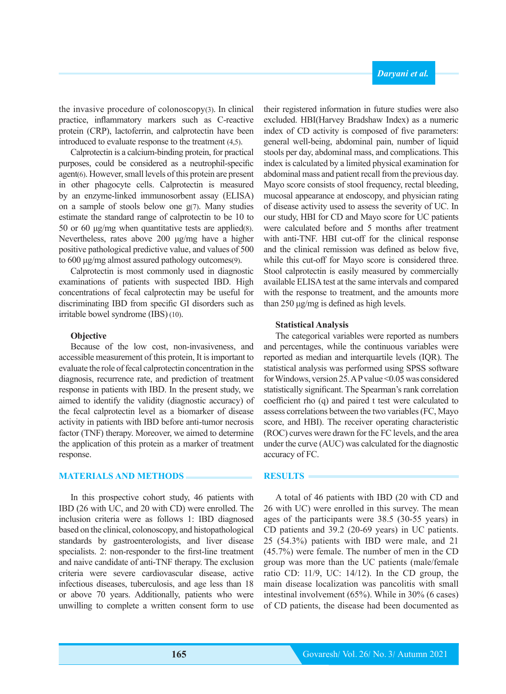the invasive procedure of colonoscopy $(3)$ . In clinical practice, inflammatory markers such as C-reactive protein (CRP), lactoferrin, and calprotectin have been introduced to evaluate response to the treatment  $(4,5)$ .

Calprotectin is a calcium-binding protein, for practical purposes, could be considered as a neutrophil-specific agent(6). However, small levels of this protein are present in other phagocyte cells. Calprotectin is measured by an enzyme-linked immunosorbent assay (ELISA) on a sample of stools below one  $g(7)$ . Many studies estimate the standard range of calprotectin to be 10 to 50 or 60  $\mu$ g/mg when quantitative tests are applied (8). Nevertheless, rates above 200  $\mu$ g/mg have a higher positive pathological predictive value, and values of 500 to 600 μg/mg almost assured pathology outcomes(9).

Calprotectin is most commonly used in diagnostic examinations of patients with suspected IBD. High concentrations of fecal calprotectin may be useful for discriminating IBD from specific GI disorders such as irritable bowel syndrome (IBS) (10).

## **Objective**

Because of the low cost, non-invasiveness, and accessible measurement of this protein. It is important to evaluate the role of fecal calprotectin concentration in the diagnosis, recurrence rate, and prediction of treatment response in patients with IBD. In the present study, we aimed to identify the validity (diagnostic accuracy) of the fecal calprotectin level as a biomarker of disease activity in patients with IBD before anti-tumor necrosis factor (TNF) therapy. Moreover, we aimed to determine the application of this protein as a marker of treatment response.

#### **MATERIALS AND METHODS**

In this prospective cohort study, 46 patients with IBD (26 with UC, and 20 with CD) were enrolled. The inclusion criteria were as follows 1: IBD diagnosed based on the clinical, colonoscopy, and histopathological standards by gastroenterologists, and liver disease specialists. 2: non-responder to the first-line treatment and naive candidate of anti-TNF therapy. The exclusion criteria were severe cardiovascular disease, active infectious diseases, tuberculosis, and age less than 18 or above 70 years. Additionally, patients who were unwilling to complete a written consent form to use

**165**

their registered information in future studies were also excluded. HBI (Harvey Bradshaw Index) as a numeric index of CD activity is composed of five parameters: general well-being, abdominal pain, number of liquid stools per day, abdominal mass, and complications. This index is calculated by a limited physical examination for abdominal mass and patient recall from the previous day. Mayo score consists of stool frequency, rectal bleeding, mucosal appearance at endoscopy, and physician rating of disease activity used to assess the severity of UC. In our study, HBI for CD and Mayo score for UC patients were calculated before and 5 months after treatment with anti-TNF. HBI cut-off for the clinical response and the clinical remission was defined as below five. while this cut-off for Mayo score is considered three. Stool calprotectin is easily measured by commercially available ELISA test at the same intervals and compared with the response to treatment, and the amounts more than  $250 \mu g/mg$  is defined as high levels.

## **Statistical Analysis**

The categorical variables were reported as numbers and percentages, while the continuous variables were reported as median and interquartile levels (IQR). The statistical analysis was performed using SPSS software for Windows, version 25. A P value  $\leq 0.05$  was considered statistically significant. The Spearman's rank correlation coefficient rho  $(q)$  and paired t test were calculated to assess correlations between the two variables (FC, Mayo score, and HBI). The receiver operating characteristic (ROC) curves were drawn for the FC levels, and the area under the curve  $(AUC)$  was calculated for the diagnostic accuracy of FC.

### **RESULTS**

A total of 46 patients with IBD (20 with CD and 26 with UC) were enrolled in this survey. The mean ages of the participants were  $38.5$  (30-55 years) in CD patients and  $39.2$  (20-69 years) in UC patients.  $25$   $(54.3\%)$  patients with IBD were male, and  $21$  $(45.7\%)$  were female. The number of men in the CD group was more than the UC patients (male/female ratio CD:  $11/9$ , UC:  $14/12$ ). In the CD group, the main disease localization was pancolitis with small intestinal involvement  $(65%)$ . While in 30%  $(6 \text{ cases})$ of CD patients, the disease had been documented as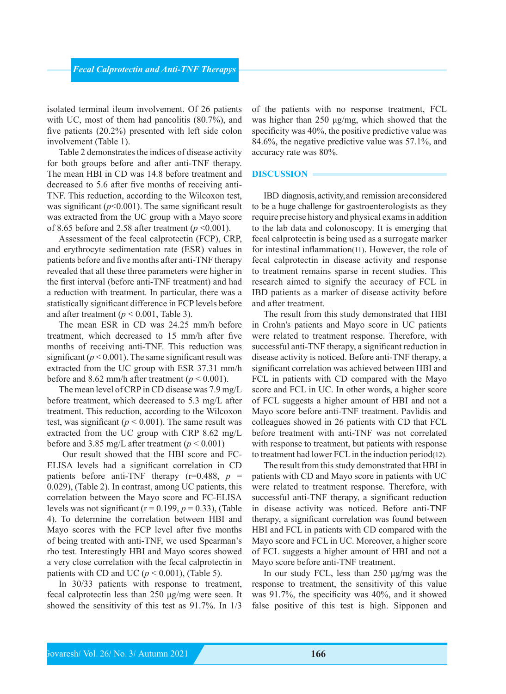isolated terminal ileum involvement. Of 26 patients with UC, most of them had pancolitis  $(80.7\%)$ , and five patients  $(20.2%)$  presented with left side colon involvement (Table 1).

Table 2 demonstrates the indices of disease activity for both groups before and after anti-TNF therapy. The mean HBI in CD was 14.8 before treatment and TNF. This reduction, according to the Wilcoxon test, decreased to 5.6 after five months of receiving antiwas significant  $(p<0.001)$ . The same significant result was extracted from the UC group with a Mayo score of 8.65 before and 2.58 after treatment ( $p \le 0.001$ ).

Assessment of the fecal calprotectin (FCP), CRP, and erythrocyte sedimentation rate (ESR) values in patients before and five months after anti-TNF therapy revealed that all these three parameters were higher in the first interval (before anti-TNF treatment) and had a reduction with treatment. In particular, there was a statistically significant difference in FCP levels before and after treatment ( $p < 0.001$ , Table 3).

The mean ESR in CD was 24.25 mm/h before treatment, which decreased to 15 mm/h after five months of receiving anti-TNF. This reduction was significant ( $p < 0.001$ ). The same significant result was extracted from the UC group with ESR 37.31 mm/h before and 8.62 mm/h after treatment ( $p < 0.001$ ).

The mean level of CRP in CD disease was  $7.9 \text{ mg/L}$ before treatment, which decreased to  $5.3 \text{ mg/L}$  after treatment. This reduction, according to the Wilcoxon test, was significant ( $p < 0.001$ ). The same result was extracted from the UC group with CRP 8.62 mg/L before and 3.85 mg/L after treatment  $(p < 0.001)$ 

ELISA levels had a significant correlation in CD Our result showed that the HBI score and FCpatients before anti-TNF therapy  $(r=0.488, p =$ 0.029), (Table 2). In contrast, among UC patients, this correlation between the Mayo score and FC-ELISA levels was not significant ( $r = 0.199$ ,  $p = 0.33$ ), (Table 4). To determine the correlation between HBI and Mayo scores with the FCP level after five months of being treated with anti-TNF, we used Spearman's rho test. Interestingly HBI and Mayo scores showed a very close correlation with the fecal calprotectin in patients with CD and UC  $(p < 0.001)$ , (Table 5).

In  $30/33$  patients with response to treatment, fecal calprotectin less than 250  $\mu$ g/mg were seen. It showed the sensitivity of this test as  $91.7\%$ . In  $1/3$ 

of the patients with no response treatment, FCL was higher than 250  $\mu$ g/mg, which showed that the specificity was  $40\%$ , the positive predictive value was 84.6%, the negative predictive value was  $57.1\%$ , and accuracy rate was 80%.

### **DISCUSSION**

IBD diagnosis, activity, and remission are considered to be a huge challenge for gastroenterologists as they require precise history and physical exams in addition to the lab data and colonoscopy. It is emerging that fecal calprotectin is being used as a surrogate marker for intestinal inflammation  $(11)$ . However, the role of fecal calprotectin in disease activity and response to treatment remains sparse in recent studies. This research aimed to signify the accuracy of FCL in IBD patients as a marker of disease activity before and after treatment.

The result from this study demonstrated that HBI in Crohn's patients and Mayo score in UC patients were related to treatment response. Therefore, with successful anti-TNF therapy, a significant reduction in disease activity is noticed. Before anti-TNF therapy, a significant correlation was achieved between HBI and FCL in patients with CD compared with the Mayo score and FCL in UC. In other words, a higher score of FCL suggests a higher amount of HBI and not a Mayo score before anti-TNF treatment. Pavlidis and colleagues showed in 26 patients with CD that FCL before treatment with anti-TNF was not correlated with response to treatment, but patients with response to treatment had lower FCL in the induction period  $(12)$ .

The result from this study demonstrated that HBI in patients with CD and Mayo score in patients with UC were related to treatment response. Therefore, with successful anti-TNF therapy, a significant reduction in disease activity was noticed. Before anti-TNF therapy, a significant correlation was found between HBI and FCL in patients with CD compared with the Mayo score and FCL in UC. Moreover, a higher score of FCL suggests a higher amount of HBI and not a Mayo score before anti-TNF treatment.

In our study FCL, less than 250  $\mu$ g/mg was the response to treatment, the sensitivity of this value was  $91.7\%$ , the specificity was  $40\%$ , and it showed false positive of this test is high. Sipponen and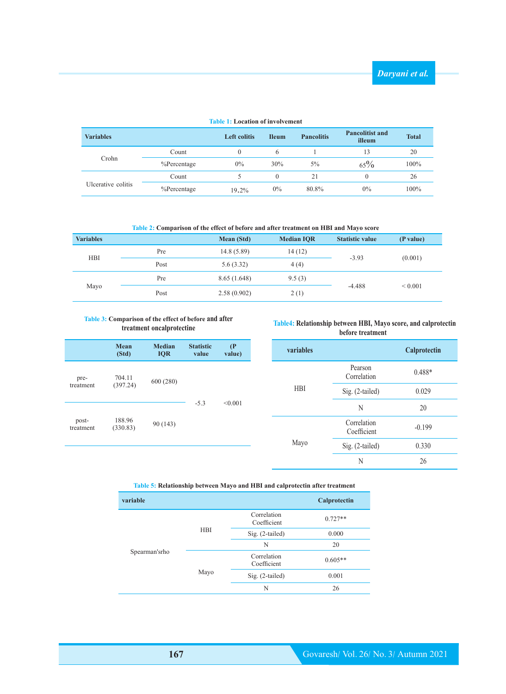| <b>Variables</b>   |                | <b>Left colitis</b> | <b>Ileum</b> | <b>Pancolitis</b> | <b>Pancolitist and</b><br>illeum | <b>Total</b> |
|--------------------|----------------|---------------------|--------------|-------------------|----------------------------------|--------------|
| Crohn              | Count          | $\theta$            | 6            |                   | 13                               | 20           |
|                    | $%$ Percentage | $0\%$               | 30%          | 5%                | $65\%$                           | 100%         |
| Ulcerative colitis | Count          |                     |              | 21                | $\theta$                         | 26           |
|                    | $%$ Percentage | 19.2%               | $0\%$        | 80.8%             | $0\%$                            | 100%         |

## **Table 1: Location of involvement**

Table 2: Comparison of the effect of before and after treatment on HBI and Mayo score

| <b>Variables</b> |      | <b>Mean</b> (Std) | <b>Median IOR</b> | <b>Statistic value</b> | (P value)    |
|------------------|------|-------------------|-------------------|------------------------|--------------|
| <b>HBI</b>       | Pre  | 14.8(5.89)        | 14 (12)           | $-3.93$                |              |
|                  | Post | 5.6(3.32)         | 4(4)              |                        | (0.001)      |
| Mayo             | Pre  | 8.65(1.648)       | 9.5(3)            |                        |              |
|                  | Post | 2.58(0.902)       | 2(1)              | $-4.488$               | ${}_{0.001}$ |

## **Table 3: Comparison of the effect of before and after oncalprotectine treatment**

|                    | Mean<br>(Std)      | <b>Median</b><br><b>IQR</b> | <b>Statistic</b><br>value | (P)<br>value) |
|--------------------|--------------------|-----------------------------|---------------------------|---------------|
| pre-<br>treatment  | 704.11<br>(397.24) | 600 (280)                   |                           |               |
| post-<br>treatment | 188.96<br>(330.83) | 90 (143)                    | $-5.3$                    | < 0.001       |

## **Table4: Relationship between HBI, Mayo score, and calprotectin before** treatment

| <b>variables</b> |                            | Calprotectin |
|------------------|----------------------------|--------------|
|                  | Pearson<br>Correlation     | $0.488*$     |
| <b>HBI</b>       | Sig. (2-tailed)            | 0.029        |
|                  | N                          | 20           |
|                  | Correlation<br>Coefficient | $-0.199$     |
| Mayo             | Sig. (2-tailed)            | 0.330        |
|                  | N                          | 26           |

# Table 5: Relationship between Mayo and HBI and calprotectin after treatment

| variable      |            |                            | Calprotectin |
|---------------|------------|----------------------------|--------------|
|               |            | Correlation<br>Coefficient | $0.727**$    |
|               | <b>HBI</b> | Sig. (2-tailed)            | 0.000        |
|               |            | N                          | 20           |
| Spearman'srho | Mayo       | Correlation<br>Coefficient | $0.605**$    |
|               |            | $Sig. (2-tailed)$          | 0.001        |
|               |            | N                          | 26           |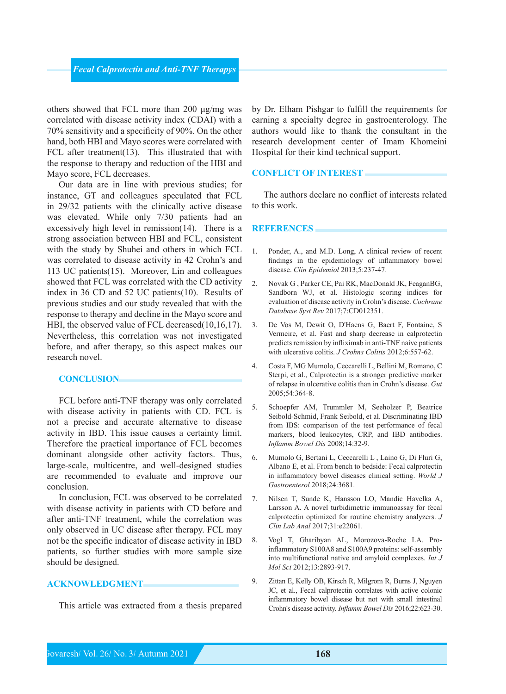others showed that FCL more than 200 μg/mg was correlated with disease activity index (CDAI) with a  $70\%$  sensitivity and a specificity of 90%. On the other hand, both HBI and Mayo scores were correlated with FCL after treatment  $(13)$ . This illustrated that with the response to therapy and reduction of the HBI and Mayo score, FCL decreases.

Our data are in line with previous studies; for instance, GT and colleagues speculated that FCL in 29/32 patients with the clinically active disease was elevated. While only 7/30 patients had an excessively high level in remission  $(14)$ . There is a strong association between HBI and FCL, consistent with the study by Shuhei and others in which FCL was correlated to disease activity in 42 Crohn's and 113 UC patients  $(15)$ . Moreover, Lin and colleagues showed that FCL was correlated with the CD activity index in 36 CD and 52 UC patients  $(10)$ . Results of previous studies and our study revealed that with the response to therapy and decline in the Mayo score and HBI, the observed value of FCL decreased  $(10,16,17)$ . Nevertheless, this correlation was not investigated before, and after therapy, so this aspect makes our research novel

## **CONCLUSION**

FCL before anti-TNF therapy was only correlated with disease activity in patients with CD. FCL is not a precise and accurate alternative to disease activity in IBD. This issue causes a certainty limit. Therefore the practical importance of FCL becomes dominant alongside other activity factors. Thus, large-scale, multicentre, and well-designed studies are recommended to evaluate and improve our .conclusion

In conclusion, FCL was observed to be correlated with disease activity in patients with CD before and after anti-TNF treatment, while the correlation was only observed in UC disease after therapy. FCL may not be the specific indicator of disease activity in IBD patients, so further studies with more sample size should be designed.

# **ACKNOWLEDGMENT**

This article was extracted from a thesis prepared

by Dr. Elham Pishgar to fulfill the requirements for earning a specialty degree in gastroenterology. The authors would like to thank the consultant in the research development center of Imam Khomeini Hospital for their kind technical support.

## **CONFLICT OF INTEREST**

The authors declare no conflict of interests related to this work.

#### **REFERENCES**

- 1. Ponder, A., and M.D. Long, A clinical review of recent findings in the epidemiology of inflammatory bowel disease. Clin Epidemiol 2013;5:237-47.
- 2. Novak G, Parker CE, Pai RK, MacDonald JK, Feagan BG, Sandborn WJ, et al. Histologic scoring indices for evaluation of disease activity in Crohn's disease. Cochrane Database Syst Rev 2017;7:CD012351.
- 3. De Vos M, Dewit O, D'Haens G, Baert F, Fontaine, S. Vermeire, et al. Fast and sharp decrease in calprotectin predicts remission by infliximab in anti-TNF naive patients with ulcerative colitis. *J Crohns Colitis* 2012;6:557-62.
- 4. Costa F, MG Mumolo, Ceccarelli L, Bellini M, Romano, C Sterpi, et al., Calprotectin is a stronger predictive marker of relapse in ulcerative colitis than in Crohn's disease. Gut 2005;54:364-8.
- 5. Schoepfer AM, Trummler M, Seeholzer P, Beatrice Seibold-Schmid, Frank Seibold, et al. Discriminating IBD from IBS: comparison of the test performance of fecal markers, blood leukocytes, CRP, and IBD antibodies. 14:32-9.;2008 *Dis Bowel Inflamm*
- 6. Mumolo G, Bertani L, Ceccarelli L, Laino G, Di Fluri G, Albano E, et al. From bench to bedside: Fecal calprotectin in inflammatory bowel diseases clinical setting. World J Gastroenterol 2018;24:3681.
- 7. Nilsen T, Sunde K, Hansson LO, Mandic Havelka A, Larsson A. A novel turbidimetric immunoassay for fecal calprotectin optimized for routine chemistry analyzers. J Clin Lab Anal 2017;31:e22061.
- inflammatory S100A8 and S100A9 proteins: self-assembly 8. Vogl T, Gharibyan AL, Morozova-Roche LA. Prointo multifunctional native and amyloid complexes. *Int J* Mol Sci 2012;13:2893-917.
- 9. Zittan E, Kelly OB, Kirsch R, Milgrom R, Burns J, Nguyen JC, et al., Fecal calprotectin correlates with active colonic inflammatory bowel disease but not with small intestinal Crohn's disease activity. *Inflamm Bowel Dis* 2016;22:623-30.